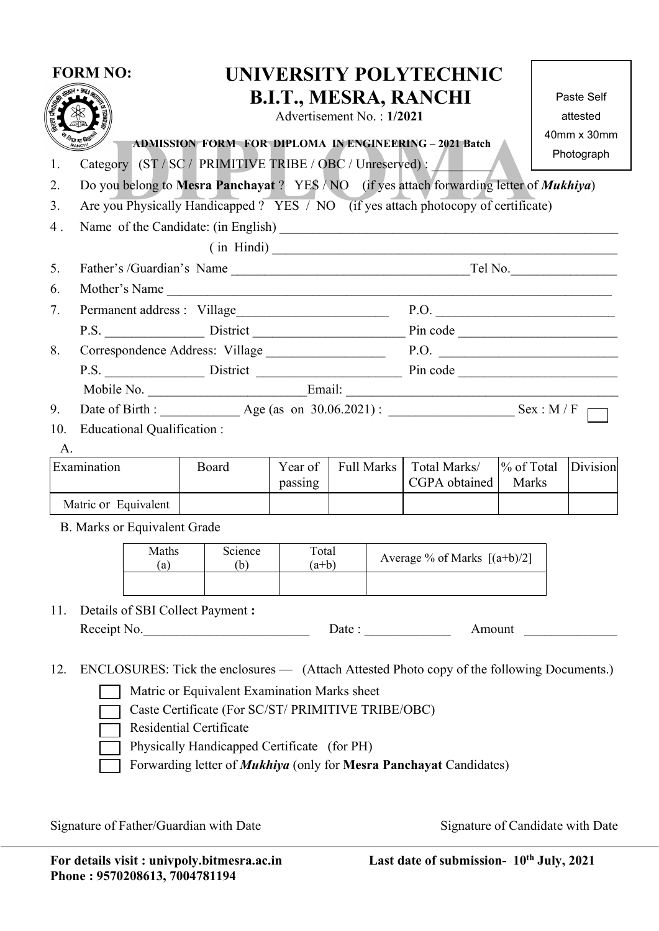|                              | <b>FORM NO:</b>                                                                                                                                                                                                                                                                                                                                         |                                | <b>UNIVERSITY POLYTECHNIC</b><br><b>B.I.T., MESRA, RANCHI</b><br>Advertisement No.: 1/2021<br>ADMISSION FORM FOR DIPLOMA IN ENGINEERING - 2021 Batch |                                                           |                   |        |                                |                     | Paste Self<br>attested<br>40mm x 30mm<br>Photograph |  |
|------------------------------|---------------------------------------------------------------------------------------------------------------------------------------------------------------------------------------------------------------------------------------------------------------------------------------------------------------------------------------------------------|--------------------------------|------------------------------------------------------------------------------------------------------------------------------------------------------|-----------------------------------------------------------|-------------------|--------|--------------------------------|---------------------|-----------------------------------------------------|--|
| 1.                           |                                                                                                                                                                                                                                                                                                                                                         |                                | Category (ST / SC / PRIMITIVE TRIBE / OBC / Unreserved):                                                                                             |                                                           |                   |        |                                |                     |                                                     |  |
| 2.                           | Do you belong to Mesra Panchayat ? YES / NO (if yes attach forwarding letter of <i>Mukhiya</i> )                                                                                                                                                                                                                                                        |                                |                                                                                                                                                      |                                                           |                   |        |                                |                     |                                                     |  |
| 3.                           | Are you Physically Handicapped ? YES / NO (if yes attach photocopy of certificate)                                                                                                                                                                                                                                                                      |                                |                                                                                                                                                      |                                                           |                   |        |                                |                     |                                                     |  |
| $4$ .                        |                                                                                                                                                                                                                                                                                                                                                         |                                |                                                                                                                                                      |                                                           |                   |        |                                |                     |                                                     |  |
| 5.                           |                                                                                                                                                                                                                                                                                                                                                         |                                |                                                                                                                                                      |                                                           |                   |        |                                |                     |                                                     |  |
| 6.                           | Tel No.<br>Father's /Guardian's Name                                                                                                                                                                                                                                                                                                                    |                                |                                                                                                                                                      |                                                           |                   |        |                                |                     |                                                     |  |
| 7.                           |                                                                                                                                                                                                                                                                                                                                                         | Mother's Name                  |                                                                                                                                                      |                                                           |                   |        |                                |                     |                                                     |  |
|                              |                                                                                                                                                                                                                                                                                                                                                         |                                |                                                                                                                                                      |                                                           |                   | P.O.   |                                |                     |                                                     |  |
| 8.                           |                                                                                                                                                                                                                                                                                                                                                         | P.S. District Pin code         |                                                                                                                                                      |                                                           |                   |        |                                |                     |                                                     |  |
|                              |                                                                                                                                                                                                                                                                                                                                                         | P.S. District Pin code Pincode |                                                                                                                                                      |                                                           |                   |        |                                |                     |                                                     |  |
|                              |                                                                                                                                                                                                                                                                                                                                                         |                                |                                                                                                                                                      |                                                           |                   |        |                                |                     |                                                     |  |
| 9.                           |                                                                                                                                                                                                                                                                                                                                                         |                                |                                                                                                                                                      |                                                           |                   |        |                                |                     |                                                     |  |
| 10.                          | Educational Qualification :                                                                                                                                                                                                                                                                                                                             |                                |                                                                                                                                                      |                                                           |                   |        |                                |                     |                                                     |  |
| A.                           |                                                                                                                                                                                                                                                                                                                                                         |                                |                                                                                                                                                      |                                                           |                   |        |                                |                     |                                                     |  |
| Examination                  |                                                                                                                                                                                                                                                                                                                                                         |                                | Board                                                                                                                                                | Year of<br>passing                                        | <b>Full Marks</b> |        | Total Marks/<br>CGPA obtained  | % of Total<br>Marks | Division                                            |  |
|                              | Matric or Equivalent                                                                                                                                                                                                                                                                                                                                    |                                |                                                                                                                                                      |                                                           |                   |        |                                |                     |                                                     |  |
| B. Marks or Equivalent Grade |                                                                                                                                                                                                                                                                                                                                                         |                                |                                                                                                                                                      |                                                           |                   |        |                                |                     |                                                     |  |
|                              | Maths<br>(a)                                                                                                                                                                                                                                                                                                                                            |                                | Science<br>(b)                                                                                                                                       | Total<br>$(a+b)$                                          |                   |        | Average % of Marks $[(a+b)/2]$ |                     |                                                     |  |
| 11.                          | Details of SBI Collect Payment :                                                                                                                                                                                                                                                                                                                        |                                |                                                                                                                                                      |                                                           |                   |        |                                |                     |                                                     |  |
|                              | Receipt No.                                                                                                                                                                                                                                                                                                                                             |                                |                                                                                                                                                      | Date : $\frac{1}{\sqrt{1-\frac{1}{2}} \cdot \frac{1}{2}}$ |                   | Amount |                                |                     |                                                     |  |
| 12.                          | ENCLOSURES: Tick the enclosures — (Attach Attested Photo copy of the following Documents.)<br>Matric or Equivalent Examination Marks sheet<br>Caste Certificate (For SC/ST/ PRIMITIVE TRIBE/OBC)<br>Residential Certificate<br>Physically Handicapped Certificate (for PH)<br>Forwarding letter of <i>Mukhiya</i> (only for Mesra Panchayat Candidates) |                                |                                                                                                                                                      |                                                           |                   |        |                                |                     |                                                     |  |

Signature of Father/Guardian with Date Signature of Candidate with Date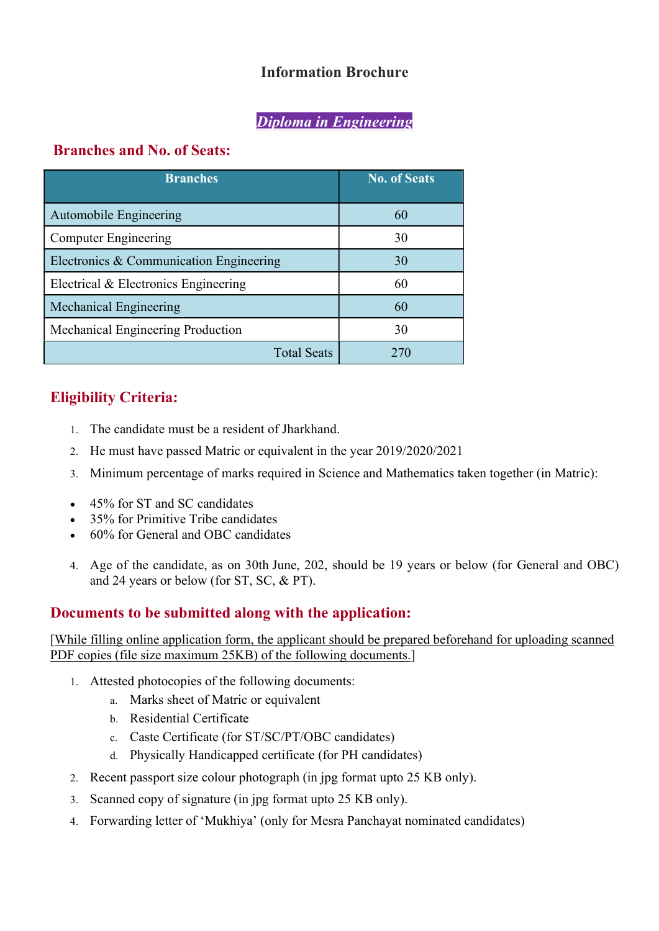### Information Brochure

## Diploma in Engineering

#### Branches and No. of Seats:

| <b>Branches</b>                         | <b>No. of Seats</b> |
|-----------------------------------------|---------------------|
| Automobile Engineering                  | 60                  |
| <b>Computer Engineering</b>             | 30                  |
| Electronics & Communication Engineering | 30                  |
| Electrical & Electronics Engineering    | 60                  |
| <b>Mechanical Engineering</b>           | 60                  |
| Mechanical Engineering Production       | 30                  |
| <b>Total Seats</b>                      | 270                 |

### Eligibility Criteria:

- 1. The candidate must be a resident of Jharkhand.
- 2. He must have passed Matric or equivalent in the year 2019/2020/2021
- 3. Minimum percentage of marks required in Science and Mathematics taken together (in Matric):
- 45% for ST and SC candidates
- 35% for Primitive Tribe candidates
- 60% for General and OBC candidates
- 4. Age of the candidate, as on 30th June, 202, should be 19 years or below (for General and OBC) and 24 years or below (for ST, SC, & PT).

### Documents to be submitted along with the application:

#### [While filling online application form, the applicant should be prepared beforehand for uploading scanned PDF copies (file size maximum 25KB) of the following documents.]

- 1. Attested photocopies of the following documents:
	- a. Marks sheet of Matric or equivalent
	- b. Residential Certificate
	- c. Caste Certificate (for ST/SC/PT/OBC candidates)
	- d. Physically Handicapped certificate (for PH candidates)
- 2. Recent passport size colour photograph (in jpg format upto 25 KB only).
- 3. Scanned copy of signature (in jpg format upto 25 KB only).
- 4. Forwarding letter of 'Mukhiya' (only for Mesra Panchayat nominated candidates)